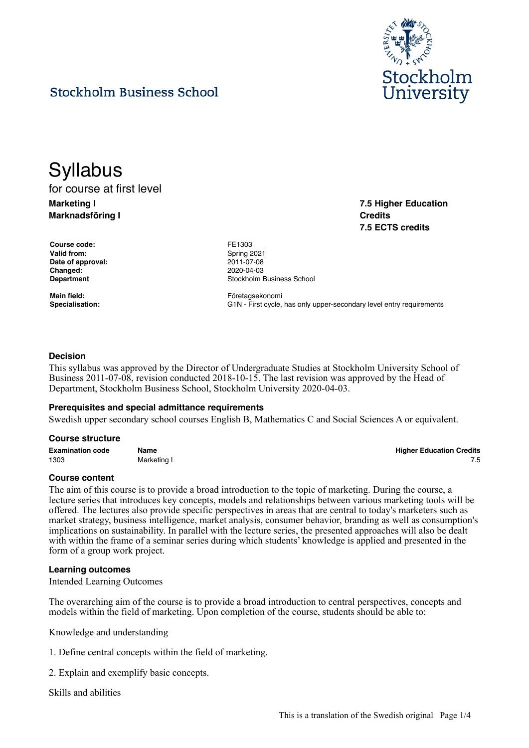

**7.5 Higher Education**

**7.5 ECTS credits**

**Credits**

# **Stockholm Business School**

# **Syllabus** for course at first level

**Marketing I Marknadsföring I**

**Course code:** FE1303 Valid from: Spring 2021 **Date of approval:** 2011-07-08 **Changed:** 2020-04-03

**Department Constanting Constanting Constanting Constanting Constanting Constanting Constanting Constanting Constanting Constanting Constanting Constanting Constanting Constanting Constanting Constanting Constanting Cons** 

Main field: **Main field: Företagsekonomi Specialisation:** G1N - First cycle, has only upper-secondary level entry requirements

# **Decision**

This syllabus was approved by the Director of Undergraduate Studies at Stockholm University School of Business 2011-07-08, revision conducted 2018-10-15. The last revision was approved by the Head of Department, Stockholm Business School, Stockholm University 2020-04-03.

# **Prerequisites and special admittance requirements**

Swedish upper secondary school courses English B, Mathematics C and Social Sciences A or equivalent.

#### **Course structure**

| <b>Examination code</b> | Name        | <b>Higher Education Credits</b> |
|-------------------------|-------------|---------------------------------|
| 1303                    | Marketing I |                                 |

# **Course content**

The aim of this course is to provide a broad introduction to the topic of marketing. During the course, a lecture series that introduces key concepts, models and relationships between various marketing tools will be offered. The lectures also provide specific perspectives in areas that are central to today's marketers such as market strategy, business intelligence, market analysis, consumer behavior, branding as well as consumption's implications on sustainability. In parallel with the lecture series, the presented approaches will also be dealt with within the frame of a seminar series during which students' knowledge is applied and presented in the form of a group work project.

# **Learning outcomes**

Intended Learning Outcomes

The overarching aim of the course is to provide a broad introduction to central perspectives, concepts and models within the field of marketing. Upon completion of the course, students should be able to:

Knowledge and understanding

- 1. Define central concepts within the field of marketing.
- 2. Explain and exemplify basic concepts.

Skills and abilities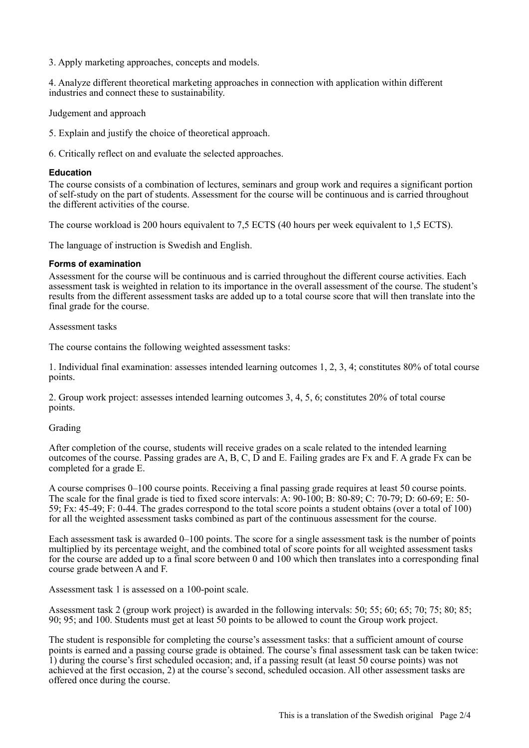3. Apply marketing approaches, concepts and models.

4. Analyze different theoretical marketing approaches in connection with application within different industries and connect these to sustainability.

Judgement and approach

5. Explain and justify the choice of theoretical approach.

6. Critically reflect on and evaluate the selected approaches.

# **Education**

The course consists of a combination of lectures, seminars and group work and requires a significant portion of self-study on the part of students. Assessment for the course will be continuous and is carried throughout the different activities of the course.

The course workload is 200 hours equivalent to 7.5 ECTS (40 hours per week equivalent to 1.5 ECTS).

The language of instruction is Swedish and English.

# **Forms of examination**

Assessment for the course will be continuous and is carried throughout the different course activities. Each assessment task is weighted in relation to its importance in the overall assessment of the course. The student's results from the different assessment tasks are added up to a total course score that will then translate into the final grade for the course.

Assessment tasks

The course contains the following weighted assessment tasks:

1. Individual final examination: assesses intended learning outcomes 1, 2, 3, 4; constitutes 80% of total course points.

2. Group work project: assesses intended learning outcomes 3, 4, 5, 6; constitutes 20% of total course points.

# Grading

After completion of the course, students will receive grades on a scale related to the intended learning outcomes of the course. Passing grades are A, B, C, D and E. Failing grades are Fx and F. A grade Fx can be completed for a grade E.

A course comprises 0–100 course points. Receiving a final passing grade requires at least 50 course points. The scale for the final grade is tied to fixed score intervals: A: 90-100; B: 80-89; C: 70-79; D: 60-69; E: 50- 59; Fx: 45-49; F: 0-44. The grades correspond to the total score points a student obtains (over a total of 100) for all the weighted assessment tasks combined as part of the continuous assessment for the course.

Each assessment task is awarded 0–100 points. The score for a single assessment task is the number of points multiplied by its percentage weight, and the combined total of score points for all weighted assessment tasks for the course are added up to a final score between 0 and 100 which then translates into a corresponding final course grade between A and F.

Assessment task 1 is assessed on a 100-point scale.

Assessment task 2 (group work project) is awarded in the following intervals: 50; 55; 60; 65; 70; 75; 80; 85; 90; 95; and 100. Students must get at least 50 points to be allowed to count the Group work project.

The student is responsible for completing the course's assessment tasks: that a sufficient amount of course points is earned and a passing course grade is obtained. The course's final assessment task can be taken twice: 1) during the course's first scheduled occasion; and, if a passing result (at least 50 course points) was not achieved at the first occasion, 2) at the course's second, scheduled occasion. All other assessment tasks are offered once during the course.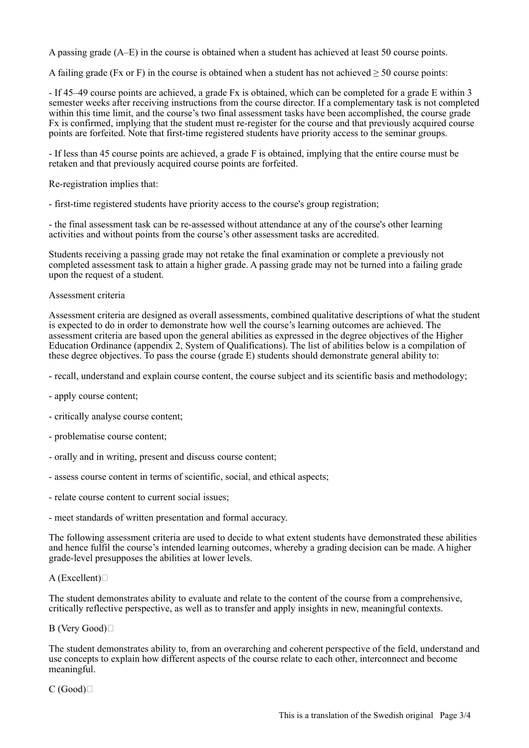A passing grade (A–E) in the course is obtained when a student has achieved at least 50 course points.

A failing grade (Fx or F) in the course is obtained when a student has not achieved  $\geq 50$  course points:

- If 45–49 course points are achieved, a grade Fx is obtained, which can be completed for a grade E within 3 semester weeks after receiving instructions from the course director. If a complementary task is not completed within this time limit, and the course's two final assessment tasks have been accomplished, the course grade Fx is confirmed, implying that the student must re-register for the course and that previously acquired course points are forfeited. Note that first-time registered students have priority access to the seminar groups.

- If less than 45 course points are achieved, a grade F is obtained, implying that the entire course must be retaken and that previously acquired course points are forfeited.

Re-registration implies that:

- first-time registered students have priority access to the course's group registration;

- the final assessment task can be re-assessed without attendance at any of the course's other learning activities and without points from the course's other assessment tasks are accredited.

Students receiving a passing grade may not retake the final examination or complete a previously not completed assessment task to attain a higher grade. A passing grade may not be turned into a failing grade upon the request of a student.

# Assessment criteria

Assessment criteria are designed as overall assessments, combined qualitative descriptions of what the student is expected to do in order to demonstrate how well the course's learning outcomes are achieved. The assessment criteria are based upon the general abilities as expressed in the degree objectives of the Higher Education Ordinance (appendix 2, System of Qualifications). The list of abilities below is a compilation of these degree objectives. To pass the course (grade E) students should demonstrate general ability to:

- recall, understand and explain course content, the course subject and its scientific basis and methodology;
- apply course content;
- critically analyse course content;
- problematise course content;
- orally and in writing, present and discuss course content;
- assess course content in terms of scientific, social, and ethical aspects;
- relate course content to current social issues;
- meet standards of written presentation and formal accuracy.

The following assessment criteria are used to decide to what extent students have demonstrated these abilities and hence fulfil the course's intended learning outcomes, whereby a grading decision can be made. A higher grade-level presupposes the abilities at lower levels.

# $A$  (Excellent) $\square$

The student demonstrates ability to evaluate and relate to the content of the course from a comprehensive, critically reflective perspective, as well as to transfer and apply insights in new, meaningful contexts.

# B (Very Good)

The student demonstrates ability to, from an overarching and coherent perspective of the field, understand and use concepts to explain how different aspects of the course relate to each other, interconnect and become meaningful.

 $C(Good)$